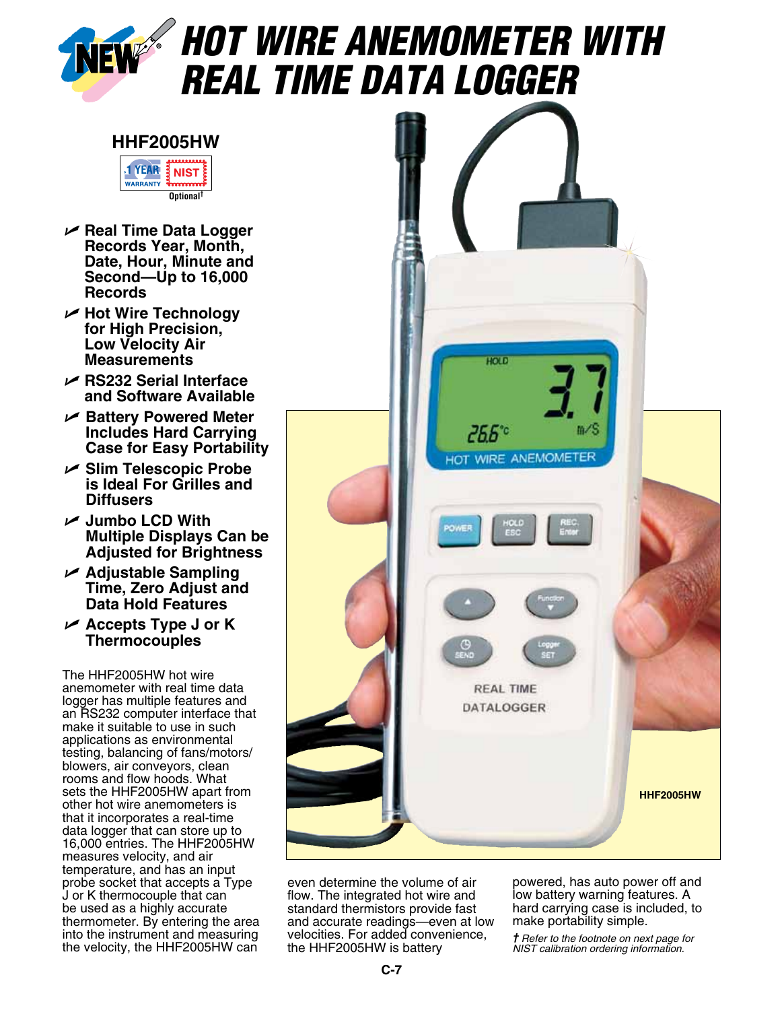

## *Hot Wire Anemometer with Real Time Data Logger*



- U **Real Time Data Logger Records Year, Month, Date, Hour, Minute and Second—Up to 16,000 Records**
- U **Hot Wire Technology for High Precision, Low Velocity Air Measurements**
- U **RS232 Serial Interface and Software Available**
- U **Battery Powered Meter Includes Hard Carrying Case for Easy Portability**
- U **Slim Telescopic Probe is Ideal For Grilles and Diffusers**
- U **Jumbo LCD With Multiple Displays Can be Adjusted for Brightness**
- U **Adjustable Sampling Time, Zero Adjust and Data Hold Features**
- U **Accepts Type J or K Thermocouples**

The HHF2005HW hot wire anemometer with real time data logger has multiple features and an RS232 computer interface that make it suitable to use in such applications as environmental testing, balancing of fans/motors/ blowers, air conveyors, clean rooms and flow hoods. What sets the HHF2005HW apart from other hot wire anemometers is that it incorporates a real-time data logger that can store up to 16,000 entries. The HHF2005HW measures velocity, and air temperature, and has an input probe socket that accepts a Type J or K thermocouple that can be used as a highly accurate thermometer. By entering the area into the instrument and measuring the velocity, the HHF2005HW can



even determine the volume of air flow. The integrated hot wire and standard thermistors provide fast and accurate readings—even at low velocities. For added convenience, the HHF2005HW is battery

powered, has auto power off and low battery warning features. A hard carrying case is included, to make portability simple.

*† Refer to the footnote on next page for NIST calibration ordering information.*